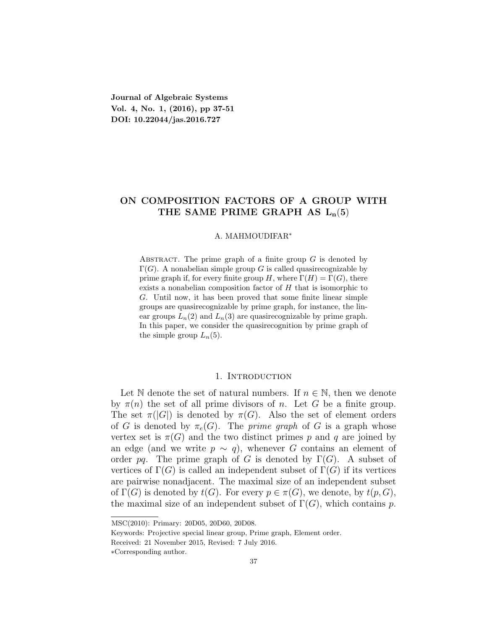**Journal of Algebraic Systems Vol. 4, No. 1, (2016), pp 37-51 DOI: 10.22044/jas.2016.727**

# **ON COMPOSITION FACTORS OF A GROUP WITH** THE SAME PRIME GRAPH AS  $L_n(5)$

#### A. MAHMOUDIFAR*<sup>∗</sup>*

ABSTRACT. The prime graph of a finite group *G* is denoted by  $\Gamma(G)$ . A nonabelian simple group G is called quasirecognizable by prime graph if, for every finite group *H*, where  $\Gamma(H) = \Gamma(G)$ , there exists a nonabelian composition factor of *H* that is isomorphic to *G*. Until now, it has been proved that some finite linear simple groups are quasirecognizable by prime graph, for instance, the linear groups  $L_n(2)$  and  $L_n(3)$  are quasirecognizable by prime graph. In this paper, we consider the quasirecognition by prime graph of the simple group  $L_n(5)$ .

## 1. Introduction

Let N denote the set of natural numbers. If  $n \in \mathbb{N}$ , then we denote by  $\pi(n)$  the set of all prime divisors of *n*. Let *G* be a finite group. The set  $\pi(|G|)$  is denoted by  $\pi(G)$ . Also the set of element orders of *G* is denoted by  $\pi_e(G)$ . The *prime graph* of *G* is a graph whose vertex set is  $\pi(G)$  and the two distinct primes p and q are joined by an edge (and we write  $p \sim q$ ), whenever *G* contains an element of order *pq*. The prime graph of *G* is denoted by  $\Gamma(G)$ . A subset of vertices of  $\Gamma(G)$  is called an independent subset of  $\Gamma(G)$  if its vertices are pairwise nonadjacent. The maximal size of an independent subset of  $\Gamma(G)$  is denoted by  $t(G)$ . For every  $p \in \pi(G)$ , we denote, by  $t(p, G)$ , the maximal size of an independent subset of  $\Gamma(G)$ , which contains *p*.

MSC(2010): Primary: 20D05, 20D60, 20D08.

Keywords: Projective special linear group, Prime graph, Element order.

Received: 21 November 2015, Revised: 7 July 2016.

*<sup>∗</sup>*Corresponding author.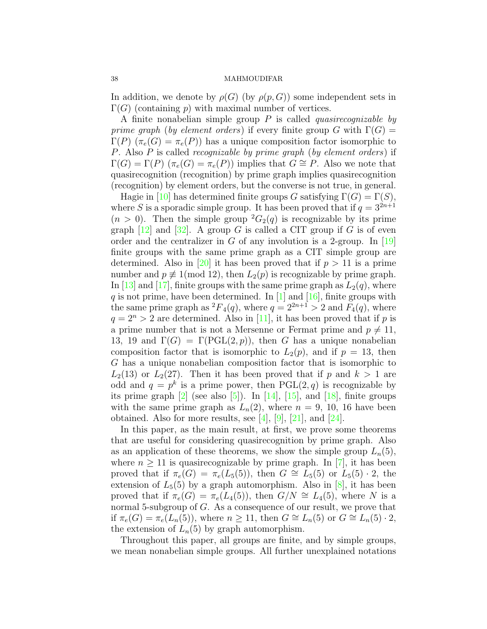In addition, we denote by  $\rho(G)$  (by  $\rho(p, G)$ ) some independent sets in  $\Gamma(G)$  (containing *p*) with maximal number of vertices.

A finite nonabelian simple group *P* is called *quasirecognizable by prime graph* (*by element orders*) if every finite group *G* with  $\Gamma(G)$  = Γ(*P*) (*πe*(*G*) = *πe*(*P*)) has a unique composition factor isomorphic to *P*. Also *P* is called *recognizable by prime graph* (*by element orders*) if  $\Gamma(G) = \Gamma(P)$  ( $\pi_e(G) = \pi_e(P)$ ) implies that  $G \cong P$ . Also we note that quasirecognition (recognition) by prime graph implies quasirecognition (recognition) by element orders, but the converse is not true, in general.

Hagiein [[10\]](#page-12-0) has determined finite groups *G* satisfying  $\Gamma(G) = \Gamma(S)$ , where *S* is a sporadic simple group. It has been proved that if  $q = 3^{2n+1}$  $(n > 0)$ . Then the simple group  ${}^2G_2(q)$  is recognizable by its prime graph $[12]$  and  $[32]$  $[32]$  $[32]$ . A group *G* is called a CIT group if *G* is of even order and the centralizer in *G* of any involution is a 2-group. In  $[19]$ finite groups with the same prime graph as a CIT simple group are determined.Also in [[20](#page-13-2)] it has been proved that if  $p > 11$  is a prime number and  $p \not\equiv 1 \pmod{12}$ , then  $L_2(p)$  is recognizable by prime graph. In [\[13\]](#page-12-2)and [[17](#page-13-3)], finite groups with the same prime graph as  $L_2(q)$ , where *q* is not prime, have been determined. In [\[1](#page-12-3)] and[[16\]](#page-13-4), finite groups with the same prime graph as  ${}^{2}F_{4}(q)$ , where  $q = 2^{2n+1} > 2$  and  $\tilde{F}_{4}(q)$ , where  $q = 2<sup>n</sup> > 2$  $q = 2<sup>n</sup> > 2$  $q = 2<sup>n</sup> > 2$  are determined. Also in [[11](#page-12-4)], it has been proved that if *p* is a prime number that is not a Mersenne or Fermat prime and  $p \neq 11$ , 13, 19 and  $\Gamma(G) = \Gamma(\text{PGL}(2, p))$ , then *G* has a unique nonabelian composition factor that is isomorphic to  $L_2(p)$ , and if  $p = 13$ , then *G* has a unique nonabelian composition factor that is isomorphic to  $L_2(13)$  or  $L_2(27)$ . Then it has been proved that if *p* and  $k > 1$  are odd and  $q = p^k$  is a prime power, then  $PGL(2,q)$  is recognizable by itsprime graph  $[2]$  (see also  $[5]$ ). In  $[14]$ ,  $[15]$ , and  $[18]$  $[18]$ , finite groups with the same prime graph as  $L_n(2)$ , where  $n = 9, 10, 16$  have been obtained. Also for more results, see [\[4](#page-12-7)],[[9\]](#page-12-8), [\[21](#page-13-8)], and [\[24](#page-13-9)].

In this paper, as the main result, at first, we prove some theorems that are useful for considering quasirecognition by prime graph. Also as an application of these theorems, we show the simple group  $L_n(5)$ , where $n \geq 11$  is quasirecognizable by prime graph. In [[7\]](#page-12-9), it has been proved that if  $\pi_e(G) = \pi_e(L_5(5))$ , then  $G \cong L_5(5)$  or  $L_5(5) \cdot 2$ , the extension of  $L_5(5)$  by a graph automorphism. Also in [\[8](#page-12-10)], it has been proved that if  $\pi_e(G) = \pi_e(L_4(5))$ , then  $G/N \cong L_4(5)$ , where N is a normal 5-subgroup of *G*. As a consequence of our result, we prove that if  $\pi_e(G) = \pi_e(L_n(5))$ , where  $n \geq 11$ , then  $G \cong L_n(5)$  or  $G \cong L_n(5) \cdot 2$ , the extension of  $L_n(5)$  by graph automorphism.

Throughout this paper, all groups are finite, and by simple groups, we mean nonabelian simple groups. All further unexplained notations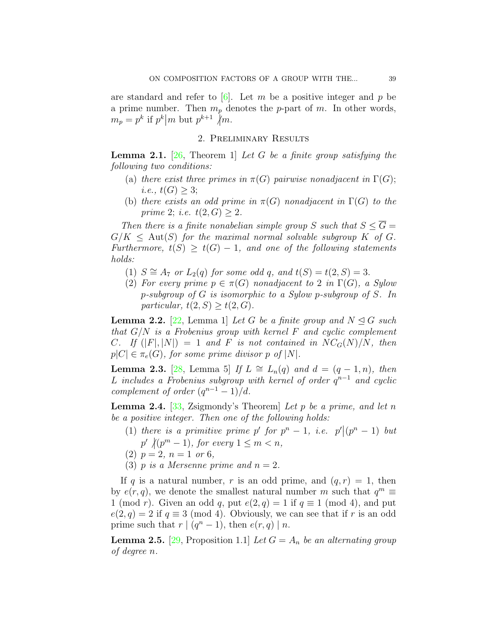arestandard and refer to  $\boxed{6}$ . Let *m* be a positive integer and *p* be a prime number. Then *m<sup>p</sup>* denotes the *p*-part of *m*. In other words,  $m_p = p^k$  if  $p^k | m$  but  $p^{k+1} \nmid m$ .

## 2. Preliminary Results

<span id="page-2-0"></span>**Lemma 2.1.** [\[26,](#page-13-10) Theorem 1] *Let G be a finite group satisfying the following two conditions:*

- (a) *there exist three primes in*  $\pi(G)$  *pairwise nonadjacent in*  $\Gamma(G)$ ; *i.e.*,  $t(G) \geq 3$ ;
- (b) *there exists an odd prime in*  $\pi(G)$  *nonadjacent in*  $\Gamma(G)$  *to the prime* 2; *i.e.*  $t(2, G) \geq 2$ *.*

*Then there is a finite nonabelian simple group S such that*  $S \leq \overline{G}$  =  $G/K \leq$  Aut(*S*) *for the maximal normal solvable subgroup K of G. Furthermore,*  $t(S) \geq t(G) - 1$ , and one of the following statements *holds:*

- (1)  $S \cong A_7$  *or*  $L_2(q)$  *for some odd q,* and  $t(S) = t(2, S) = 3$ .
- (2) *For every prime*  $p \in \pi(G)$  *nonadjacent to* 2 *in*  $\Gamma(G)$ *, a Sylow p-subgroup of G is isomorphic to a Sylow p-subgroup of S. In particular,*  $t(2, S) \geq t(2, G)$ *.*

<span id="page-2-4"></span>**Lemma 2.2.** [[22](#page-13-11), Lemma 1] *Let G be a finite group and*  $N \triangleleft G$  *such that G/N is a Frobenius group with kernel F and cyclic complement C.* If  $(|F|, |N|) = 1$  and *F is not contained in*  $NC_G(N)/N$ *, then*  $p|C| \in \pi_e(G)$ , for some prime divisor *p* of  $|N|$ .

<span id="page-2-3"></span>**Lemma 2.3.** [\[28,](#page-13-12) Lemma 5] *If L*  $\cong$  *L<sub>n</sub>*(*q*) *and d* = (*q* − 1*, n*)*, then*  $L$  *includes a Frobenius subgroup with kernel of order*  $q^{n-1}$  *and cyclic complement of order*  $(q^{n-1} - 1)/d$ *.* 

<span id="page-2-2"></span>**Lemma 2.4.** [[33,](#page-13-13) Zsigmondy's Theorem] *Let p be a prime, and let n be a positive integer. Then one of the following holds:*

- (1) *there is a primitive prime p' for*  $p^n 1$ *, i.e.*  $p'|(p^n 1)$  *but*  $p'$   $\sqrt{(p^m-1)}$ , for every  $1 \leq m < n$ ,
- $(2)$   $p = 2, n = 1$  or 6*,*
- (3) *p is a Mersenne prime and*  $n = 2$ .

If *q* is a natural number, *r* is an odd prime, and  $(q, r) = 1$ , then by  $e(r, q)$ , we denote the smallest natural number *m* such that  $q^m \equiv$ 1 (mod *r*). Given an odd *q*, put  $e(2,q) = 1$  if  $q \equiv 1 \pmod{4}$ , and put  $e(2,q) = 2$  if  $q \equiv 3 \pmod{4}$ . Obviously, we can see that if *r* is an odd prime such that  $r \mid (q^n - 1)$ , then  $e(r, q) \mid n$ .

<span id="page-2-1"></span>**Lemma 2.5.** [\[29](#page-13-14), Proposition 1.1] *Let*  $G = A_n$  *be an alternating group of degree n.*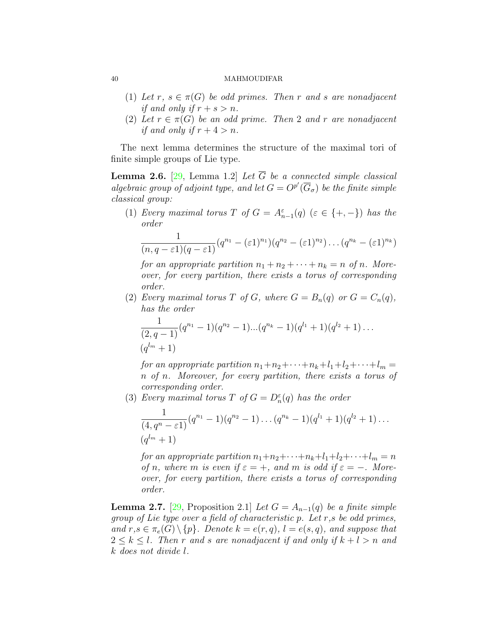- (1) Let  $r, s \in \pi(G)$  be odd primes. Then  $r$  and  $s$  are nonadjacent *if and only if*  $r + s > n$ *.*
- (2) Let  $r \in \pi(G)$  be an odd prime. Then 2 and r are nonadjacent *if and only if*  $r + 4 > n$ *.*

The next lemma determines the structure of the maximal tori of finite simple groups of Lie type.

<span id="page-3-1"></span>**Lemma 2.6.** [[29,](#page-13-14) Lemma 1.2] *Let*  $\overline{G}$  *be a connected simple classical algebraic group of adjoint type, and let*  $G = O^{p'}(\overline{G}_{\sigma})$  *be the finite simple classical group:*

(1) *Every maximal torus T of*  $G = A_{n-1}^{\varepsilon}(q)$  ( $\varepsilon \in \{+, -\}$ ) *has the order*

$$
\frac{1}{(n,q-\varepsilon 1)(q-\varepsilon 1)}(q^{n_1}-(\varepsilon 1)^{n_1})(q^{n_2}-(\varepsilon 1)^{n_2})\dots (q^{n_k}-(\varepsilon 1)^{n_k})
$$

*for an appropriate partition*  $n_1 + n_2 + \cdots + n_k = n$  *of n. Moreover, for every partition, there exists a torus of corresponding order.*

(2) *Every maximal torus T of G, where*  $G = B_n(q)$  *or*  $G = C_n(q)$ *, has the order*

$$
\frac{1}{(2,q-1)}(q^{n_1}-1)(q^{n_2}-1)...(q^{n_k}-1)(q^{l_1}+1)(q^{l_2}+1)...(q^{l_m}+1)
$$

*for an appropriate partition*  $n_1 + n_2 + \cdots + n_k + l_1 + l_2 + \cdots + l_m =$ *n of n. Moreover, for every partition, there exists a torus of corresponding order.*

(3) *Every maximal torus T of*  $G = D_n^{\varepsilon}(q)$  *has the order* 

$$
\frac{1}{(4,q^n-\varepsilon 1)}(q^{n_1}-1)(q^{n_2}-1)\dots(q^{n_k}-1)(q^{l_1}+1)(q^{l_2}+1)\dots
$$
  

$$
(q^{l_m}+1)
$$

*for an appropriate partition*  $n_1+n_2+\cdots+n_k+l_1+l_2+\cdots+l_m=n$ *of n*, where *m is even if*  $\varepsilon = +$ *, and m is odd if*  $\varepsilon = -$ *. Moreover, for every partition, there exists a torus of corresponding order.*

<span id="page-3-0"></span>**Lemma 2.7.** [\[29](#page-13-14), Proposition 2.1] *Let*  $G = A_{n-1}(q)$  *be a finite simple group of Lie type over a field of characteristic p. Let r,s be odd primes,*  $\{and\ r, s \in \pi_e(G) \setminus \{p\}$ . Denote  $k = e(r, q)$ ,  $l = e(s, q)$ , and suppose that  $2 \leq k \leq l$ . Then r and s are nonadjacent if and only if  $k + l > n$  and *k does not divide l.*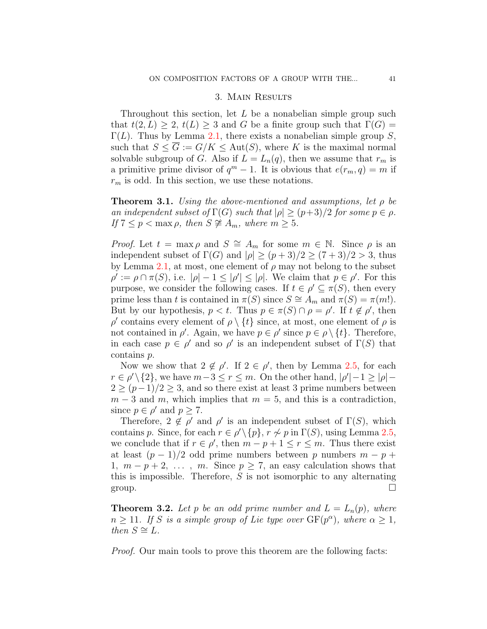## 3. Main Results

Throughout this section, let *L* be a nonabelian simple group such that  $t(2, L) \geq 2$ ,  $t(L) \geq 3$  and *G* be a finite group such that  $\Gamma(G) =$  $\Gamma(L)$ . Thus by Lemma [2.1,](#page-2-0) there exists a nonabelian simple group *S*, such that  $S \leq \overline{G} := G/K \leq \text{Aut}(S)$ , where *K* is the maximal normal solvable subgroup of *G*. Also if  $L = L_n(q)$ , then we assume that  $r_m$  is a primitive prime divisor of  $q^m - 1$ . It is obvious that  $e(r_m, q) = m$  if *r<sup>m</sup>* is odd. In this section, we use these notations.

<span id="page-4-0"></span>**Theorem 3.1.** *Using the above-mentioned and assumptions, let ρ be an independent subset of*  $\Gamma(G)$  *such that*  $|\rho| \geq (p+3)/2$  *for some*  $p \in \rho$ *.*  $If$  7  $\leq p$  < max  $\rho$ *, then*  $S \not\cong A_m$ *, where*  $m \geq 5$ *.* 

*Proof.* Let  $t = \max \rho$  and  $S \cong A_m$  for some  $m \in \mathbb{N}$ . Since  $\rho$  is an independent subset of  $\Gamma(G)$  and  $|\rho| \ge (p+3)/2 \ge (7+3)/2 > 3$ , thus by Lemma [2.1,](#page-2-0) at most, one element of  $\rho$  may not belong to the subset  $\rho' := \rho \cap \pi(S)$ , i.e.  $|\rho| - 1 \leq |\rho'| \leq |\rho|$ . We claim that  $p \in \rho'$ . For this purpose, we consider the following cases. If  $t \in \rho' \subseteq \pi(S)$ , then every prime less than *t* is contained in  $\pi(S)$  since  $S \cong A_m$  and  $\pi(S) = \pi(m!)$ . But by our hypothesis,  $p < t$ . Thus  $p \in \pi(S) \cap \rho = \rho'$ . If  $t \notin \rho'$ , then *ρ*  $\alpha$ contains every element of  $\rho \setminus \{t\}$  since, at most, one element of  $\rho$  is not contained in  $\rho'$ . Again, we have  $p \in \rho'$  since  $p \in \rho \setminus \{t\}$ . Therefore, in each case  $p \in \rho'$  and so  $\rho'$  is an independent subset of  $\Gamma(S)$  that contains *p*.

Now we show that  $2 \notin \rho'$ . If  $2 \in \rho'$ , then by Lemma [2.5](#page-2-1), for each  $r \in \rho' \setminus \{2\}$ , we have  $m-3 \leq r \leq m$ . On the other hand,  $|\rho'|-1 \geq |\rho|-1$  $2 \ge (p-1)/2 \ge 3$ , and so there exist at least 3 prime numbers between  $m-3$  and  $m$ , which implies that  $m=5$ , and this is a contradiction, since  $p \in \rho'$  and  $p \geq 7$ .

Therefore,  $2 \notin \rho'$  and  $\rho'$  is an independent subset of  $\Gamma(S)$ , which contains *p*. Since, for each  $r \in \rho' \setminus \{p\}$ ,  $r \nsim p$  in  $\Gamma(S)$ , using Lemma [2.5,](#page-2-1) we conclude that if  $r \in \rho'$ , then  $m - p + 1 \le r \le m$ . Thus there exist at least  $(p-1)/2$  odd prime numbers between p numbers  $m-p+1$ 1*,*  $m - p + 2$ , ...,  $m$ . Since  $p \geq 7$ , an easy calculation shows that this is impossible. Therefore, *S* is not isomorphic to any alternating group.  $\Box$ 

<span id="page-4-1"></span>**Theorem 3.2.** Let p be an odd prime number and  $L = L_n(p)$ , where  $n \geq 11$ *. If S is a simple group of Lie type over*  $GF(p^{\alpha})$ *, where*  $\alpha \geq 1$ *,*  $then S \cong L.$ 

*Proof.* Our main tools to prove this theorem are the following facts: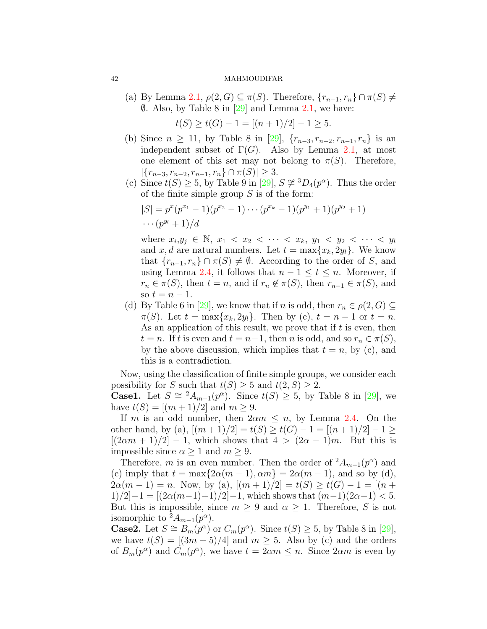(a) By Lemma [2.1](#page-2-0),  $\rho(2, G) \subseteq \pi(S)$ . Therefore,  $\{r_{n-1}, r_n\} \cap \pi(S) \neq$ *∅*. Also, by Table 8 in [\[29](#page-13-14)] and Lemma [2.1,](#page-2-0) we have:

$$
t(S) \ge t(G) - 1 = [(n+1)/2] - 1 \ge 5.
$$

- (b) Since  $n \geq 11$ , by Table 8 in [\[29](#page-13-14)],  $\{r_{n-3}, r_{n-2}, r_{n-1}, r_n\}$  is an independent subset of  $\Gamma(G)$ . Also by Lemma [2.1,](#page-2-0) at most one element of this set may not belong to  $\pi(S)$ . Therefore, *|{r<sup>n</sup>−*<sup>3</sup>*, r<sup>n</sup>−*<sup>2</sup>*, r<sup>n</sup>−*<sup>1</sup>*, rn} ∩ π*(*S*)*| ≥* 3.
- (c) Since  $t(S) \geq 5$ , by Table 9 in [\[29\]](#page-13-14),  $S \not\cong {}^{3}D_{4}(p^{\alpha})$ . Thus the order of the finite simple group *S* is of the form:

$$
|S| = p^x(p^{x_1} - 1)(p^{x_2} - 1) \cdots (p^{x_k} - 1)(p^{y_1} + 1)(p^{y_2} + 1) \cdots (p^{y_l} + 1)/d
$$

where  $x_i, y_j \in \mathbb{N}, x_1 < x_2 < \cdots < x_k, y_1 < y_2 < \cdots < y_l$ and *x*, *d* are natural numbers. Let  $t = \max\{x_k, 2y_l\}$ . We know that  ${r_{n-1}, r_n} \cap \pi(S) \neq \emptyset$ . According to the order of *S*, and using Lemma [2.4,](#page-2-2) it follows that  $n-1 \le t \le n$ . Moreover, if  $r_n \in \pi(S)$ , then  $t = n$ , and if  $r_n \notin \pi(S)$ , then  $r_{n-1} \in \pi(S)$ , and so  $t = n - 1$ .

(d)By Table 6 in [[29](#page-13-14)], we know that if *n* is odd, then  $r_n \in \rho(2, G) \subseteq$  $\pi(S)$ . Let  $t = \max\{x_k, 2y_l\}$ . Then by (c),  $t = n - 1$  or  $t = n$ . As an application of this result, we prove that if *t* is even, then  $t = n$ . If *t* is even and  $t = n-1$ , then *n* is odd, and so  $r_n \in \pi(S)$ , by the above discussion, which implies that  $t = n$ , by (c), and this is a contradiction.

Now, using the classification of finite simple groups, we consider each possibility for *S* such that  $t(S) \geq 5$  and  $t(2, S) \geq 2$ . **Case1.**Let  $S \cong {}^{2}A_{m-1}(p^{\alpha})$ . Since  $t(S) \geq 5$ , by Table 8 in [[29](#page-13-14)], we

have  $t(S) = [(m + 1)/2]$  and  $m \ge 9$ .

If *m* is an odd number, then  $2\alpha m \leq n$ , by Lemma [2.4](#page-2-2). On the other hand, by (a),  $[(m+1)/2] = t(S) \ge t(G) - 1 = [(n+1)/2] - 1 \ge$  $[(2\alpha m + 1)/2] - 1$ , which shows that  $4 > (2\alpha - 1)m$ . But this is impossible since  $\alpha \geq 1$  and  $m \geq 9$ .

Therefore, *m* is an even number. Then the order of  $^{2}A_{m-1}(p^{\alpha})$  and (c) imply that  $t = \max\{2\alpha(m-1), \alpha m\} = 2\alpha(m-1)$ , and so by (d),  $2\alpha(m-1) = n$ . Now, by (a),  $[(m+1)/2] = t(S) \ge t(G) - 1 = [(n+1)/2]$  $1)/2$  $-1 = \left[\frac{2\alpha(m-1)+1}{2} - 1, \text{ which shows that } (m-1)(2\alpha-1) < 5.\right]$ But this is impossible, since  $m \geq 9$  and  $\alpha \geq 1$ . Therefore, *S* is not isomorphic to  ${}^2A_{m-1}(p^{\alpha})$ .

**Case2.**Let  $S \cong B_m(p^{\alpha})$  or  $C_m(p^{\alpha})$ . Since  $t(S) \geq 5$ , by Table 8 in [[29\]](#page-13-14), we have  $t(S) = [(3m + 5)/4]$  and  $m \geq 5$ . Also by (c) and the orders of  $B_m(p^{\alpha})$  and  $C_m(p^{\alpha})$ , we have  $t = 2\alpha m \leq n$ . Since  $2\alpha m$  is even by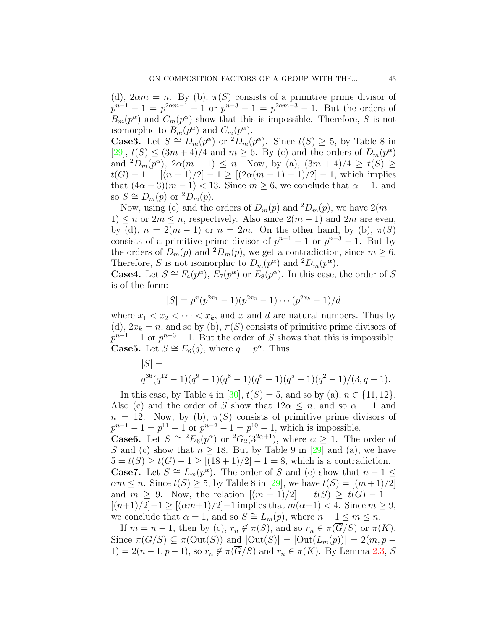(d),  $2\alpha m = n$ . By (b),  $\pi(S)$  consists of a primitive prime divisor of  $p^{n-1} - 1 = p^{2\alpha m - 1} - 1$  or  $p^{n-3} - 1 = p^{2\alpha m - 3} - 1$ . But the orders of  $B_m(p^{\alpha})$  and  $C_m(p^{\alpha})$  show that this is impossible. Therefore, *S* is not isomorphic to  $B_m(p^{\alpha})$  and  $C_m(p^{\alpha})$ .

**Case3.** Let  $S \cong D_m(p^{\alpha})$  or  ${}^2D_m(p^{\alpha})$ . Since  $t(S) \geq 5$ , by Table 8 in  $[29]$  $[29]$  $[29]$ ,  $t(S) \leq (3m+4)/4$  and  $m \geq 6$ . By (c) and the orders of  $D_m(p^{\alpha})$ and  ${}^{2}D_{m}(p^{\alpha})$ ,  $2\alpha(m-1) \leq n$ . Now, by (a),  $(3m+4)/4 \geq t(S) \geq$  $t(G) - 1 = [(n + 1)/2] - 1 \geq [(2\alpha(m - 1) + 1)/2] - 1$ , which implies that  $(4\alpha - 3)(m - 1) < 13$ . Since  $m \geq 6$ , we conclude that  $\alpha = 1$ , and so *S*  $\cong$  *D<sub>m</sub>*(*p*) or <sup>2</sup>*D<sub>m</sub>*(*p*).

Now, using (c) and the orders of  $D_m(p)$  and <sup>2</sup> $D_m(p)$ , we have 2(*m* − 1)  $\leq n$  or  $2m \leq n$ , respectively. Also since  $2(m-1)$  and  $2m$  are even, by (d),  $n = 2(m - 1)$  or  $n = 2m$ . On the other hand, by (b),  $\pi(S)$ consists of a primitive prime divisor of  $p^{n-1} - 1$  or  $p^{n-3} - 1$ . But by the orders of  $D_m(p)$  and  ${}^2D_m(p)$ , we get a contradiction, since  $m \geq 6$ . Therefore, *S* is not isomorphic to  $D_m(p^{\alpha})$  and  ${}^2D_m(p^{\alpha})$ .

**Case4.** Let  $S \cong F_4(p^{\alpha})$ ,  $E_7(p^{\alpha})$  or  $E_8(p^{\alpha})$ . In this case, the order of *S* is of the form:

$$
|S| = p^{x}(p^{2x_1} - 1)(p^{2x_2} - 1) \cdots (p^{2x_k} - 1)/d
$$

where  $x_1 < x_2 < \cdots < x_k$ , and *x* and *d* are natural numbers. Thus by (d),  $2x_k = n$ , and so by (b),  $\pi(S)$  consists of primitive prime divisors of  $p^{n-1} - 1$  or  $p^{n-3} - 1$ . But the order of *S* shows that this is impossible. **Case5.** Let  $S \cong E_6(q)$ , where  $q = p^{\alpha}$ . Thus

$$
|S| =
$$
  
q<sup>36</sup>(q<sup>12</sup> - 1)(q<sup>9</sup> - 1)(q<sup>8</sup> - 1)(q<sup>6</sup> - 1)(q<sup>5</sup> - 1)(q<sup>2</sup> - 1)/(3, q - 1).

In this case, by Table 4 in [\[30\]](#page-13-15),  $t(S) = 5$ , and so by (a),  $n \in \{11, 12\}$ . Also (c) and the order of *S* show that  $12\alpha \leq n$ , and so  $\alpha = 1$  and  $n = 12$ . Now, by (b),  $\pi(S)$  consists of primitive prime divisors of  $p^{n-1} - 1 = p^{11} - 1$  or  $p^{n-2} - 1 = p^{10} - 1$ , which is impossible. **Case6.** Let  $S \cong {}^{2}E_{6}(p^{\alpha})$  or  ${}^{2}G_{2}(3^{2\alpha+1})$ , where  $\alpha \geq 1$ . The order of *S*and (c) show that  $n \geq 18$ . But by Table 9 in [[29\]](#page-13-14) and (a), we have  $5 = t(S) \ge t(G) - 1 \ge [(18 + 1)/2] - 1 = 8$ , which is a contradiction. **Case7.** Let  $S \cong L_m(p^{\alpha})$ . The order of *S* and (c) show that  $n-1 \leq$  $\alpha m \leq n$  $\alpha m \leq n$  $\alpha m \leq n$ . Since  $t(S) \geq 5$ , by Table 8 in [[29\]](#page-13-14), we have  $t(S) = [(m+1)/2]$ and  $m \geq 9$ . Now, the relation  $[(m+1)/2] = t(S) \geq t(G) - 1 =$ [(*n*+1)*/*2]*−*1 *≥* [(*αm*+1)*/*2]*−*1 implies that *m*(*α−*1) *<* 4. Since *m ≥* 9, we conclude that  $\alpha = 1$ , and so  $S \cong L_m(p)$ , where  $n - 1 \leq m \leq n$ .

If  $m = n - 1$ , then by (c),  $r_n \notin \pi(S)$ , and so  $r_n \in \pi(\overline{G}/S)$  or  $\pi(K)$ . Since  $\pi(\overline{G}/S) \subseteq \pi(\text{Out}(S))$  and  $|\text{Out}(S)| = |\text{Out}(L_m(p))| = 2(m, p - \overline{C})$ 1) = 2(*n* − 1, *p* − 1), so  $r_n \notin \pi(\overline{G}/S)$  and  $r_n \in \pi(K)$ . By Lemma [2.3](#page-2-3), *S*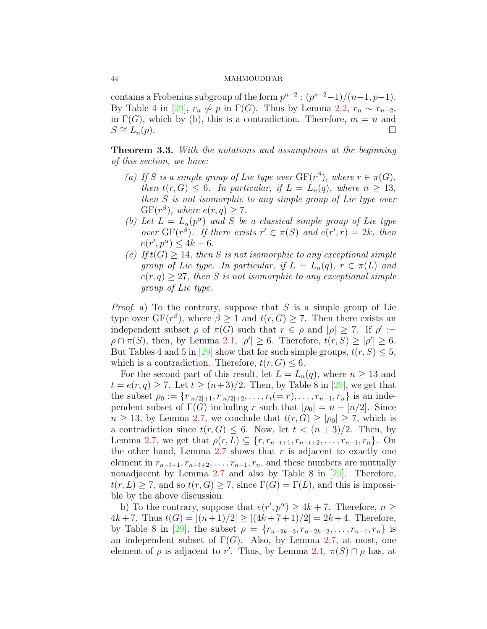contains a Frobenius subgroup of the form  $p^{n-2}$  :  $(p^{n-2}-1)/(n-1, p-1)$ . By Table 4 in [\[29\]](#page-13-14),  $r_n \nsim p$  in  $\Gamma(G)$ . Thus by Lemma [2.2](#page-2-4),  $r_n \sim r_{n-2}$ , in  $\Gamma(G)$ , which by (b), this is a contradiction. Therefore,  $m = n$  and  $S \cong L_n(p).$ 

<span id="page-7-0"></span>**Theorem 3.3.** *With the notations and assumptions at the beginning of this section, we have:*

- *(a) If S is a simple group of Lie type over*  $GF(r^{\beta})$ *, where*  $r \in \pi(G)$ *, then*  $t(r, G) \leq 6$ *. In particular, if*  $L = L_n(q)$ *, where*  $n \geq 13$ *, then S is not isomorphic to any simple group of Lie type over*  $GF(r^{\beta})$ *, where*  $e(r, q) \geq 7$ *.*
- *(b)* Let  $L = L_n(p^{\alpha})$  and *S* be a classical simple group of Lie type *over* GF( $r^{\beta}$ )*. If there exists*  $r' \in \pi(S)$  *and*  $e(r', r) = 2k$ *, then*  $e(r', p^{\alpha}) \leq 4k + 6.$
- *(c) If*  $t(G) \geq 14$ *, then S is not isomorphic to any exceptional simple group of Lie type. In particular, if*  $L = L_n(q)$ ,  $r \in \pi(L)$  *and*  $e(r, q) \geq 27$ , then *S* is not isomorphic to any exceptional simple *group of Lie type.*

*Proof.* a) To the contrary, suppose that *S* is a simple group of Lie type over  $GF(r^{\beta})$ , where  $\beta \geq 1$  and  $t(r, G) \geq 7$ . Then there exists an independent subset  $\rho$  of  $\pi(G)$  such that  $r \in \rho$  and  $|\rho| \geq 7$ . If  $\rho' :=$  $\rho \cap \pi(S)$ , then, by Lemma [2.1](#page-2-0),  $|\rho'| \geq 6$ . Therefore,  $t(r, S) \geq |\rho'| \geq 6$ . But Tables 4 and 5 in [\[29\]](#page-13-14) show that for such simple groups,  $t(r, S) \leq 5$ , which is a contradiction. Therefore,  $t(r, G) \leq 6$ .

For the second part of this result, let  $L = L_n(q)$ , where  $n \geq 13$  and  $t = e(r, q) \ge 7$  $t = e(r, q) \ge 7$  $t = e(r, q) \ge 7$ . Let  $t \ge (n+3)/2$ . Then, by Table 8 in [[29](#page-13-14)], we get that the subset  $\rho_0 := \{r_{[n/2]+1}, r_{[n/2]+2}, \ldots, r_t (= r), \ldots, r_{n-1}, r_n\}$  is an independent subset of  $\Gamma(G)$  including *r* such that  $|\rho_0| = n - [n/2]$ . Since  $n \geq 13$ , by Lemma [2.7](#page-3-0), we conclude that  $t(r, G) \geq |\rho_0| \geq 7$ , which is a contradiction since  $t(r, G) \leq 6$ . Now, let  $t < (n+3)/2$ . Then, by Lemma [2.7,](#page-3-0) we get that  $\rho(r, L) \subseteq \{r, r_{n-t+1}, r_{n-t+2}, \ldots, r_{n-1}, r_n\}$ . On the other hand, Lemma  $2.7$  shows that  $r$  is adjacent to exactly one element in  $r_{n-t+1}, r_{n-t+2}, \ldots, r_{n-1}, r_n$ , and these numbers are mutually nonadjacent by Lemma [2.7](#page-3-0) and also by Table 8 in[[29\]](#page-13-14). Therefore,  $t(r, L) \geq 7$ , and so  $t(r, G) \geq 7$ , since  $\Gamma(G) = \Gamma(L)$ , and this is impossible by the above discussion.

b) To the contrary, suppose that  $e(r', p^{\alpha}) \geq 4k + 7$ . Therefore,  $n \geq$  $4k + 7$ . Thus  $t(G) = [(n + 1)/2] \geq [(4k + 7 + 1)/2] = 2k + 4$ . Therefore, by Table 8 in [\[29\]](#page-13-14), the subset  $\rho = \{r_{n-2k-3}, r_{n-2k-2}, \ldots, r_{n-1}, r_n\}$  is an independent subset of  $\Gamma(G)$ . Also, by Lemma [2.7](#page-3-0), at most, one element of  $\rho$  is adjacent to r'. Thus, by Lemma [2.1](#page-2-0),  $\pi(S) \cap \rho$  has, at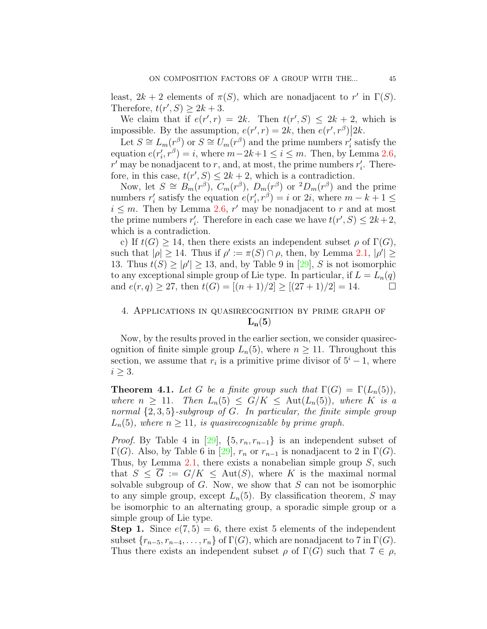least,  $2k + 2$  elements of  $\pi(S)$ , which are nonadjacent to r' in  $\Gamma(S)$ . Therefore,  $t(r', S) \geq 2k + 3$ .

We claim that if  $e(r', r) = 2k$ . Then  $t(r', S) \leq 2k + 2$ , which is impossible. By the assumption,  $e(r', r) = 2k$ , then  $\overline{e(r', r'')}$  |2*k*.

Let  $S \cong L_m(r^{\beta})$  or  $S \cong U_m(r^{\beta})$  and the prime numbers  $r'_i$  satisfy the equation  $e(r'_i, r^{\beta}) = i$ , where  $m - 2k + 1 \le i \le m$ . Then, by Lemma [2.6,](#page-3-1)  $r'$  may be nonadjacent to *r*, and, at most, the prime numbers  $r'_i$ . Therefore, in this case,  $t(r', S) \leq 2k + 2$ , which is a contradiction.

Now, let  $S \cong B_m(r^{\beta}), C_m(r^{\beta}), D_m(r^{\beta})$  or  ${}^2D_m(r^{\beta})$  and the prime numbers  $r'_i$  satisfy the equation  $e(r'_i, r^{\beta}) = i$  or 2*i*, where  $m - k + 1 \leq$  $i \leq m$ . Then by Lemma [2.6,](#page-3-1)  $r'$  may be nonadjacent to  $r$  and at most the prime numbers  $r'_{i}$ . Therefore in each case we have  $t(r', S) \leq 2k + 2$ , which is a contradiction.

c) If  $t(G) \geq 14$ , then there exists an independent subset  $\rho$  of  $\Gamma(G)$ , such that  $|\rho| \geq 14$ . Thus if  $\rho' := \pi(S) \cap \rho$ , then, by Lemma [2.1,](#page-2-0)  $|\rho'| \geq$ 13.Thus  $t(S) \geq |\rho'| \geq 13$ , and, by Table 9 in [[29\]](#page-13-14), *S* is not isomorphic to any exceptional simple group of Lie type. In particular, if  $L = L_n(q)$ and  $e(r, q) \geq 27$ , then  $t(G) = [(n + 1)/2] \geq [(27 + 1)/2] = 14$ .

# 4. Applications in quasirecognition by prime graph of  $L_n(5)$

Now, by the results proved in the earlier section, we consider quasirecognition of finite simple group  $L_n(5)$ , where  $n \geq 11$ . Throughout this section, we assume that  $r_i$  is a primitive prime divisor of  $5^i - 1$ , where *i ≥* 3.

<span id="page-8-0"></span>**Theorem 4.1.** *Let G be a finite group such that*  $\Gamma(G) = \Gamma(L_n(5))$ *, where*  $n \geq 11$ *. Then*  $L_n(5) \leq G/K \leq \text{Aut}(L_n(5))$ *, where K is a normal {*2*,* 3*,* 5*}-subgroup of G. In particular, the finite simple group*  $L_n(5)$ *, where*  $n \geq 11$ *, is quasirecognizable by prime graph.* 

*Proof.*By Table 4 in [[29\]](#page-13-14),  $\{5, r_n, r_{n-1}\}$  is an independent subset of Γ(*G*).Also, by Table 6 in [[29\]](#page-13-14),  $r_n$  or  $r_{n-1}$  is nonadjacent to 2 in Γ(*G*). Thus, by Lemma [2.1](#page-2-0), there exists a nonabelian simple group *S*, such that  $S \leq \overline{G} := G/K \leq \text{Aut}(S)$ , where *K* is the maximal normal solvable subgroup of *G*. Now, we show that *S* can not be isomorphic to any simple group, except  $L_n(5)$ . By classification theorem, *S* may be isomorphic to an alternating group, a sporadic simple group or a simple group of Lie type.

**Step 1.** Since  $e(7,5) = 6$ , there exist 5 elements of the independent subset  $\{r_{n-5}, r_{n-4}, \ldots, r_n\}$  of  $\Gamma(G)$ , which are nonadjacent to 7 in  $\Gamma(G)$ . Thus there exists an independent subset  $\rho$  of  $\Gamma(G)$  such that  $7 \in \rho$ ,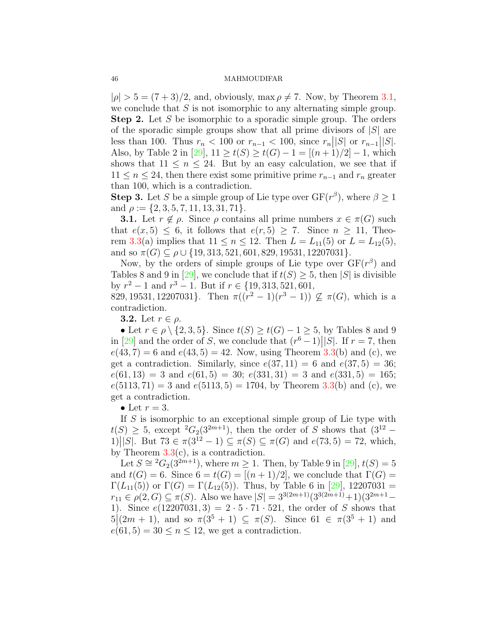$|\rho| > 5 = (7+3)/2$ , and, obviously, max  $\rho \neq 7$ . Now, by Theorem [3.1,](#page-4-0) we conclude that *S* is not isomorphic to any alternating simple group. **Step 2.** Let *S* be isomorphic to a sporadic simple group. The orders of the sporadic simple groups show that all prime divisors of *|S|* are less than 100. Thus  $r_n < 100$  or  $r_{n-1} < 100$ , since  $r_n |S|$  or  $r_{n-1} |S|$ . Also, by Table 2 in  $[29]$ ,  $11 \ge t(S) \ge t(G) - 1 = [(n+1)/2] - 1$ , which shows that  $11 \leq n \leq 24$ . But by an easy calculation, we see that if 11 ≤ *n* ≤ 24, then there exist some primitive prime  $r_{n-1}$  and  $r_n$  greater than 100, which is a contradiction.

**Step 3.** Let *S* be a simple group of Lie type over  $GF(r^{\beta})$ , where  $\beta \geq 1$ and *ρ* := *{*2*,* 3*,* 5*,* 7*,* 11*,* 13*,* 31*,* 71*}*.

**3.1.** Let  $r \notin \rho$ . Since  $\rho$  contains all prime numbers  $x \in \pi(G)$  such that  $e(x, 5) \leq 6$ , it follows that  $e(r, 5) \geq 7$ . Since  $n \geq 11$ , Theo-rem [3.3\(](#page-7-0)a) implies that  $11 \le n \le 12$ . Then  $L = L_{11}(5)$  or  $L = L_{12}(5)$ , and so  $\pi(G) \subseteq \rho \cup \{19, 313, 521, 601, 829, 19531, 12207031\}.$ 

Now, by the orders of simple groups of Lie type over  $GF(r^{\beta})$  and Tables8 and 9 in [[29\]](#page-13-14), we conclude that if  $t(S) \geq 5$ , then  $|S|$  is divisible by *r* <sup>2</sup> *−* 1 and *r* <sup>3</sup> *−* 1. But if *r ∈ {*19*,* 313*,* 521*,* 601*,*

829, 19531, 12207031}. Then  $\pi((r^2-1)(r^3-1)) \nsubseteq \pi(G)$ , which is a contradiction.

**3.2.** Let  $r \in \rho$ .

• Let  $r \in \rho \setminus \{2, 3, 5\}$ . Since  $t(S) \geq t(G) - 1 \geq 5$ , by Tables 8 and 9 in [\[29\]](#page-13-14) and the order of *S*, we conclude that  $(r^6 - 1)$ ||*S*|. If  $r = 7$ , then  $e(43, 7) = 6$  and  $e(43, 5) = 42$ . Now, using Theorem [3.3\(](#page-7-0)b) and (c), we get a contradiction. Similarly, since  $e(37, 11) = 6$  and  $e(37, 5) = 36$ ;  $e(61, 13) = 3$  and  $e(61, 5) = 30$ ;  $e(331, 31) = 3$  and  $e(331, 5) = 165$ ;  $e(5113, 71) = 3$  and  $e(5113, 5) = 1704$ , by Theorem [3.3\(](#page-7-0)b) and (c), we get a contradiction.

• Let  $r=3$ .

If *S* is isomorphic to an exceptional simple group of Lie type with  $t(S) \geq 5$ , except <sup>2</sup> $G_2(3^{2m+1})$ , then the order of *S* shows that  $(3^{12} \frac{1}{\sqrt{S}}$  *S E I*. But 73 ∈ *π*(3<sup>12</sup> − 1) ⊆ *π*(*S*) ⊆ *π*(*G*) and *e*(73*,* 5) = 72, which, by Theorem  $3.3(c)$  $3.3(c)$ , is a contradiction.

Let  $S \cong {}^{2}G_{2}(3^{2m+1})$ , where  $m \geq 1$ . Then, by Table 9 in [\[29\]](#page-13-14),  $t(S) = 5$ and  $t(G) = 6$ . Since  $6 = t(G) = [(n + 1)/2]$ , we conclude that  $\Gamma(G) =$ Γ(*L*<sub>11</sub>(5))or Γ(*G*) = Γ(*L*<sub>12</sub>(5)). Thus, by Table 6 in [[29\]](#page-13-14), 12207031 =  $r_{11} \in \rho(2, G) \subseteq \pi(S)$ . Also we have  $|S| = 3^{3(2m+1)}(3^{3(2m+1)}+1)(3^{2m+1}-1)$ 1). Since  $e(12207031, 3) = 2 \cdot 5 \cdot 71 \cdot 521$ , the order of *S* shows that  $5(2m + 1)$ , and so  $\pi(3^5 + 1) \subseteq \pi(S)$ . Since  $61 \in \pi(3^5 + 1)$  and  $e(61, 5) = 30 \le n \le 12$ , we get a contradiction.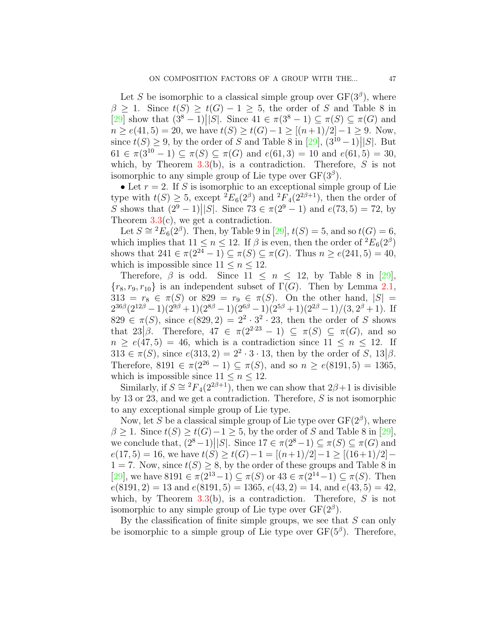Let *S* be isomorphic to a classical simple group over  $GF(3^{\beta})$ , where  $\beta \geq 1$ . Since  $t(S) \geq t(G) - 1 \geq 5$ , the order of *S* and Table 8 in  $[29]$  $[29]$  $[29]$  show that  $(3^8 - 1)$ ||*S*|. Since  $41 \in \pi(3^8 - 1) \subseteq \pi(S) \subseteq \pi(G)$  and  $n \ge e(41, 5) = 20$ , we have  $t(S) \ge t(G) - 1 \ge [(n+1)/2] - 1 \ge 9$ . Now, since $t(S) \geq 9$ , by the order of *S* and Table 8 in [[29](#page-13-14)],  $(3^{10} - 1)$ |*S*|. But 61  $\in \pi(3^{10} - 1) \subseteq \pi(S) \subseteq \pi(G)$  and  $e(61, 3) = 10$  and  $e(61, 5) = 30$ , which, by Theorem [3.3](#page-7-0)(b), is a contradiction. Therefore, *S* is not isomorphic to any simple group of Lie type over  $GF(3^{\beta})$ .

• Let  $r = 2$ . If *S* is isomorphic to an exceptional simple group of Lie type with  $t(S) \geq 5$ , except  ${}^2E_6(2^{\beta})$  and  ${}^2F_4(2^{2\beta+1})$ , then the order of  $S$  shows that  $(2^9 - 1)$  *|S|*. Since 73  $\in \pi(2^9 - 1)$  and  $e(73, 5) = 72$ , by Theorem  $3.3(c)$  $3.3(c)$ , we get a contradiction.

Let $S \cong {}^{2}E_{6}(2^{\beta})$ . Then, by Table 9 in [[29\]](#page-13-14),  $t(S) = 5$ , and so  $t(G) = 6$ , which implies that  $11 \le n \le 12$ . If  $\beta$  is even, then the order of  ${}^2E_6(2^{\beta})$ shows that  $241 \in \pi(2^{24} - 1) \subseteq \pi(S) \subseteq \pi(G)$ . Thus  $n \ge e(241, 5) = 40$ , which is impossible since  $11 \leq n \leq 12$ .

Therefore, $\beta$  is odd. Since  $11 \leq n \leq 12$ , by Table 8 in [[29\]](#page-13-14),  ${r_8, r_9, r_{10}}$  is an independent subset of  $\Gamma(G)$ . Then by Lemma [2.1,](#page-2-0) 313 =  $r_8 \in \pi(S)$  or 829 =  $r_9 \in \pi(S)$ . On the other hand,  $|S|$  =  $2^{36\beta}(2^{12\beta}-1)(2^{9\beta}+1)(2^{8\beta}-1)(2^{6\beta}-1)(2^{5\beta}+1)(2^{2\beta}-1)/(3,2^{\beta}+1)$ . If  $829 \in \pi(S)$ , since  $e(829, 2) = 2^2 \cdot 3^2 \cdot 23$ , then the order of *S* shows that  $23|\beta|$ . Therefore,  $47 \in \pi(2^{2\cdot23} - 1) \subseteq \pi(S) \subseteq \pi(G)$ , and so  $n \geq e(47, 5) = 46$ , which is a contradiction since  $11 \leq n \leq 12$ . If  $313 \in \pi(S)$ , since  $e(313, 2) = 2^2 \cdot 3 \cdot 13$ , then by the order of *S*,  $13|\beta$ . Therefore,  $8191 \in \pi(2^{26} - 1) \subseteq \pi(S)$ , and so  $n > e(8191, 5) = 1365$ , which is impossible since  $11 \leq n \leq 12$ .

Similarly, if  $S \cong {}^{2}F_{4}(2^{2\beta+1})$ , then we can show that  $2\beta+1$  is divisible by 13 or 23, and we get a contradiction. Therefore, *S* is not isomorphic to any exceptional simple group of Lie type.

Now, let *S* be a classical simple group of Lie type over  $GF(2^{\beta})$ , where  $\beta \geq 1$  $\beta \geq 1$  $\beta \geq 1$ . Since  $t(S) \geq t(G) - 1 \geq 5$ , by the order of *S* and Table 8 in [[29\]](#page-13-14), we conclude that,  $(2^8 - 1)$   $||S||$ . Since  $17 \in \pi(2^8 - 1) \subseteq \pi(S) \subseteq \pi(G)$  and  $e(17, 5) = 16$ , we have  $t(S) \ge t(G) - 1 = [(n+1)/2] - 1 \ge [(16+1)/2] - 1$ 1 = 7. Now, since  $t(S) \geq 8$ , by the order of these groups and Table 8 in [[29](#page-13-14)], we have 8191 *∈ π*(2<sup>13</sup>*−*1) *⊆ π*(*S*) or 43 *∈ π*(2<sup>14</sup>*−*1) *⊆ π*(*S*). Then  $e(8191, 2) = 13$  and  $e(8191, 5) = 1365$ ,  $e(43, 2) = 14$ , and  $e(43, 5) = 42$ , which, by Theorem [3.3](#page-7-0)(b), is a contradiction. Therefore, *S* is not isomorphic to any simple group of Lie type over  $GF(2^{\beta})$ .

By the classification of finite simple groups, we see that *S* can only be isomorphic to a simple group of Lie type over  $GF(5^{\beta})$ . Therefore,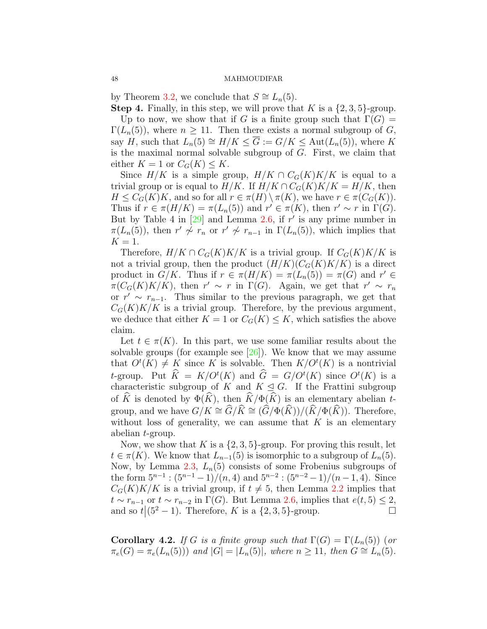by Theorem [3.2](#page-4-1), we conclude that  $S \cong L_n(5)$ .

**Step 4.** Finally, in this step, we will prove that *K* is a  $\{2, 3, 5\}$ -group. Up to now, we show that if *G* is a finite group such that  $\Gamma(G)$  =  $\Gamma(L_n(5))$ , where  $n \geq 11$ . Then there exists a normal subgroup of *G*, say *H*, such that  $L_n(5) \cong H/K \leq \overline{G} := G/K \leq \text{Aut}(L_n(5))$ , where *K* 

is the maximal normal solvable subgroup of *G*. First, we claim that either  $K = 1$  or  $C_G(K) \leq K$ .

Since  $H/K$  is a simple group,  $H/K \cap C_G(K)K/K$  is equal to a trivial group or is equal to  $H/K$ . If  $H/K \cap C_G(K)K/K = H/K$ , then  $H \leq C_G(K)K$ , and so for all  $r \in \pi(H) \setminus \pi(K)$ , we have  $r \in \pi(C_G(K))$ . Thus if  $r \in \pi(H/K) = \pi(L_n(5))$  and  $r' \in \pi(K)$ , then  $r' \sim r$  in  $\Gamma(G)$ . But by Table 4 in[[29\]](#page-13-14) and Lemma [2.6,](#page-3-1) if *r ′* is any prime number in  $\pi(L_n(5))$ , then  $r' \nsim r_n$  or  $r' \nsim r_{n-1}$  in  $\Gamma(L_n(5))$ , which implies that  $K = 1$ .

Therefore,  $H/K \cap C_G(K)K/K$  is a trivial group. If  $C_G(K)K/K$  is not a trivial group, then the product  $(H/K)(C_G(K)K/K)$  is a direct product in  $G/K$ . Thus if  $r \in \pi(H/K) = \pi(L_n(5)) = \pi(G)$  and  $r' \in$  $\pi(C_G(K)K/K)$ , then  $r' \sim r$  in  $\Gamma(G)$ . Again, we get that  $r' \sim r_n$ or  $r' \sim r_{n-1}$ . Thus similar to the previous paragraph, we get that  $C_G(K)K/K$  is a trivial group. Therefore, by the previous argument, we deduce that either  $K = 1$  or  $C_G(K) \leq K$ , which satisfies the above claim.

Let  $t \in \pi(K)$ . In this part, we use some familiar results about the solvable groups (for example see[[26\]](#page-13-10)). We know that we may assume that  $O^t(K) \neq K$  since K is solvable. Then  $K/O^t(K)$  is a nontrivial *t*-group. Put  $\hat{K} = K/O^{t}(K)$  and  $\hat{G} = G/O^{t}(K)$  since  $O^{t}(K)$  is a characteristic subgroup of *K* and  $K \leq G$ . If the Frattini subgroup of  $\widehat{K}$  is denoted by  $\Phi(\widehat{K})$ , then  $\widehat{K}/\Phi(\widehat{K})$  is an elementary abelian *t*group, and we have  $G/K \cong \widehat{G}/\widehat{K} \cong (\widehat{G}/\Phi(\widehat{K}))/(\widehat{K}/\Phi(\widehat{K}))$ . Therefore, without loss of generality, we can assume that *K* is an elementary abelian *t*-group.

Now, we show that *K* is a  $\{2,3,5\}$ -group. For proving this result, let  $t \in \pi(K)$ . We know that  $L_{n-1}(5)$  is isomorphic to a subgroup of  $L_n(5)$ . Now, by Lemma [2.3](#page-2-3),  $L_n(5)$  consists of some Frobenius subgroups of the form  $5^{n-1}$  :  $(5^{n-1}-1)/(n,4)$  and  $5^{n-2}$  :  $(5^{n-2}-1)/(n-1,4)$ . Since  $C_G(K)K/K$  is a trivial group, if  $t \neq 5$ , then Lemma [2.2](#page-2-4) implies that  $t \sim r_{n-1}$  or  $t \sim r_{n-2}$  in  $\Gamma(G)$ . But Lemma [2.6,](#page-3-1) implies that  $e(t, 5) \leq 2$ , and so  $t|(5^2-1)$ . Therefore, K is a  $\{2, 3, 5\}$ -group. and so  $t|(5^2-1)$ . Therefore, *K* is a  $\{2,3,5\}$ -group. □

**Corollary 4.2.** *If G is a finite group such that*  $\Gamma(G) = \Gamma(L_n(5))$  (*or*  $\pi_e(G) = \pi_e(L_n(5))$  and  $|G| = |L_n(5)|$ , where  $n \ge 11$ , then  $G \cong L_n(5)$ .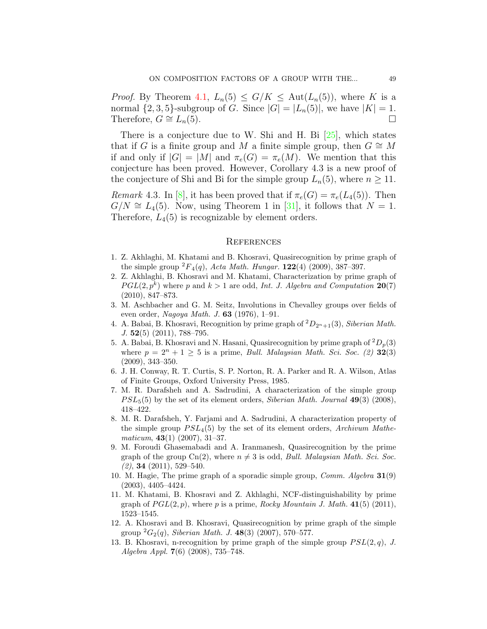*Proof.* By Theorem [4.1](#page-8-0),  $L_n(5) \leq G/K \leq \text{Aut}(L_n(5))$ , where K is a normal  $\{2, 3, 5\}$ -subgroup of *G*. Since  $|G| = |L_n(5)|$ , we have  $|K| = 1$ . Therefore,  $G \cong L_n(5)$ . □

There is a conjecture due to W. Shi and H. Bi [\[25\]](#page-13-16), which states that if *G* is a finite group and *M* a finite simple group, then  $G \cong M$ if and only if  $|G| = |M|$  and  $\pi_e(G) = \pi_e(M)$ . We mention that this conjecture has been proved. However, Corollary 4.3 is a new proof of the conjecture of Shi and Bi for the simple group  $L_n(5)$ , where  $n \geq 11$ .

*Remark*4.3. In [[8\]](#page-12-10), it has been proved that if  $\pi_e(G) = \pi_e(L_4(5))$ . Then  $G/N \cong L_4(5)$ . Now, using Theorem 1 in [\[31](#page-13-17)], it follows that  $N=1$ . Therefore,  $L_4(5)$  is recognizable by element orders.

#### **REFERENCES**

- <span id="page-12-3"></span>1. Z. Akhlaghi, M. Khatami and B. Khosravi, Quasirecognition by prime graph of the simple group  ${}^2F_4(q)$ , *Acta Math. Hungar.* **122**(4) (2009), 387–397.
- <span id="page-12-5"></span>2. Z. Akhlaghi, B. Khosravi and M. Khatami, Characterization by prime graph of  $PGL(2, p^k)$  where *p* and  $k > 1$  are odd, *Int. J. Algebra and Computation* 20(7) (2010), 847–873.
- 3. M. Aschbacher and G. M. Seitz, Involutions in Chevalley groups over fields of even order, *Nagoya Math. J.* **63** (1976), 1–91.
- <span id="page-12-7"></span>4. A. Babai, B. Khosravi, Recognition by prime graph of <sup>2</sup>*D*2*n*+1(3), *Siberian Math. J.* **52**(5) (2011), 788–795.
- <span id="page-12-6"></span>5. A. Babai, B. Khosravi and N. Hasani, Quasirecognition by prime graph of  ${}^2D_n(3)$ where  $p = 2^n + 1 \geq 5$  is a prime, *Bull. Malaysian Math. Sci. Soc.* (2) **32**(3) (2009), 343–350.
- <span id="page-12-11"></span>6. J. H. Conway, R. T. Curtis, S. P. Norton, R. A. Parker and R. A. Wilson, Atlas of Finite Groups, Oxford University Press, 1985.
- <span id="page-12-9"></span>7. M. R. Darafsheh and A. Sadrudini, A characterization of the simple group *P SL*5(5) by the set of its element orders, *Siberian Math. Journal* **49**(3) (2008), 418–422.
- <span id="page-12-10"></span>8. M. R. Darafsheh, Y. Farjami and A. Sadrudini, A characterization property of the simple group *P SL*4(5) by the set of its element orders, *Archivum Mathematicum*, **43**(1) (2007), 31–37.
- <span id="page-12-8"></span>9. M. Foroudi Ghasemabadi and A. Iranmanesh, Quasirecognition by the prime graph of the group  $\text{Cn}(2)$ , where  $n \neq 3$  is odd, *Bull. Malaysian Math. Sci. Soc. (2)*, **34** (2011), 529–540.
- <span id="page-12-0"></span>10. M. Hagie, The prime graph of a sporadic simple group, *Comm. Algebra* **31**(9) (2003), 4405–4424.
- <span id="page-12-4"></span>11. M. Khatami, B. Khosravi and Z. Akhlaghi, NCF-distinguishability by prime graph of  $PGL(2, p)$ , where p is a prime, *Rocky Mountain J. Math.* **41**(5) (2011), 1523–1545.
- <span id="page-12-1"></span>12. A. Khosravi and B. Khosravi, Quasirecognition by prime graph of the simple group <sup>2</sup>*G*2(*q*), *Siberian Math. J.* **48**(3) (2007), 570–577.
- <span id="page-12-2"></span>13. B. Khosravi, n-recognition by prime graph of the simple group  $PSL(2,q)$ , *J. Algebra Appl.* **7**(6) (2008), 735–748.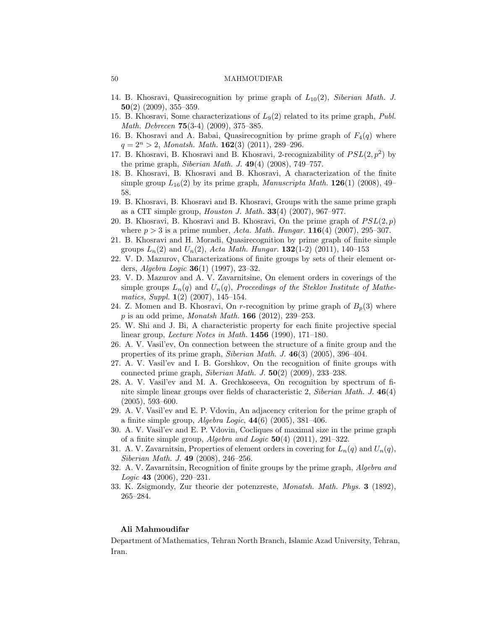- <span id="page-13-5"></span>14. B. Khosravi, Quasirecognition by prime graph of *L*10(2), *Siberian Math. J.* **50**(2) (2009), 355–359.
- <span id="page-13-6"></span>15. B. Khosravi, Some characterizations of *L*9(2) related to its prime graph, *Publ. Math. Debrecen* **75**(3-4) (2009), 375–385.
- <span id="page-13-4"></span>16. B. Khosravi and A. Babai, Quasirecognition by prime graph of *F*4(*q*) where  $q = 2<sup>n</sup> > 2$ , *Monatsh. Math.* **162**(3) (2011), 289–296.
- <span id="page-13-3"></span>17. B. Khosravi, B. Khosravi and B. Khosravi, 2-recognizability of  $PSL(2, p^2)$  by the prime graph, *Siberian Math. J.* **49**(4) (2008), 749–757.
- <span id="page-13-7"></span>18. B. Khosravi, B. Khosravi and B. Khosravi, A characterization of the finite simple group  $L_{16}(2)$  by its prime graph, *Manuscripta Math.* **126**(1) (2008), 49– 58.
- <span id="page-13-1"></span>19. B. Khosravi, B. Khosravi and B. Khosravi, Groups with the same prime graph as a CIT simple group, *Houston J. Math.* **33**(4) (2007), 967–977.
- <span id="page-13-2"></span>20. B. Khosravi, B. Khosravi and B. Khosravi, On the prime graph of  $PSL(2, p)$ where *p >* 3 is a prime number, *Acta. Math. Hungar.* **116**(4) (2007), 295–307.
- <span id="page-13-8"></span>21. B. Khosravi and H. Moradi, Quasirecognition by prime graph of finite simple groups  $L_n(2)$  and  $U_n(2)$ , *Acta Math. Hungar.* **132**(1-2) (2011), 140–153
- <span id="page-13-11"></span>22. V. D. Mazurov, Characterizations of finite groups by sets of their element orders, *Algebra Logic* **36**(1) (1997), 23–32.
- 23. V. D. Mazurov and A. V. Zavarnitsine, On element orders in coverings of the simple groups  $L_n(q)$  and  $U_n(q)$ , *Proceedings of the Steklov Institute of Mathematics, Suppl.* **1**(2) (2007), 145–154.
- <span id="page-13-9"></span>24. Z. Momen and B. Khosravi, On  $r$ -recognition by prime graph of  $B_p(3)$  where *p* is an odd prime, *Monatsh Math.* **166** (2012), 239–253.
- <span id="page-13-16"></span>25. W. Shi and J. Bi, A characteristic property for each finite projective special linear group, *Lecture Notes in Math.* **1456** (1990), 171–180.
- <span id="page-13-10"></span>26. A. V. Vasil'ev, On connection between the structure of a finite group and the properties of its prime graph, *Siberian Math. J.* **46**(3) (2005), 396–404.
- 27. A. V. Vasil'ev and I. B. Gorshkov, On the recognition of finite groups with connected prime graph, *Siberian Math. J.* **50**(2) (2009), 233–238.
- <span id="page-13-12"></span>28. A. V. Vasil'ev and M. A. Grechkoseeva, On recognition by spectrum of finite simple linear groups over fields of characteristic 2, *Siberian Math. J.* **46**(4) (2005), 593–600.
- <span id="page-13-14"></span>29. A. V. Vasil'ev and E. P. Vdovin, An adjacency criterion for the prime graph of a finite simple group, *Algebra Logic*, **44**(6) (2005), 381–406.
- <span id="page-13-15"></span>30. A. V. Vasil'ev and E. P. Vdovin, Cocliques of maximal size in the prime graph of a finite simple group, *Algebra and Logic* **50**(4) (2011), 291–322.
- <span id="page-13-17"></span>31. A. V. Zavarnitsin, Properties of element orders in covering for  $L_n(q)$  and  $U_n(q)$ , *Siberian Math. J.* **49** (2008), 246–256.
- <span id="page-13-0"></span>32. A. V. Zavarnitsin, Recognition of finite groups by the prime graph, *Algebra and Logic* **43** (2006), 220–231.
- <span id="page-13-13"></span>33. K. Zsigmondy, Zur theorie der potenzreste, *Monatsh. Math. Phys.* **3** (1892), 265–284.

#### **Ali Mahmoudifar**

Department of Mathematics, Tehran North Branch, Islamic Azad University, Tehran, Iran.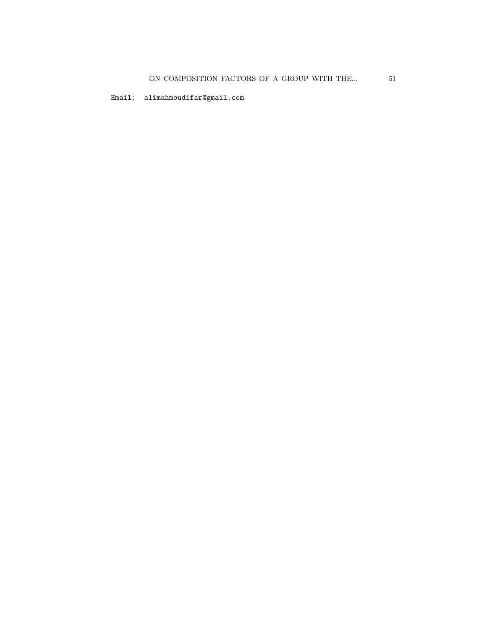Email: alimahmoudifar@gmail.com